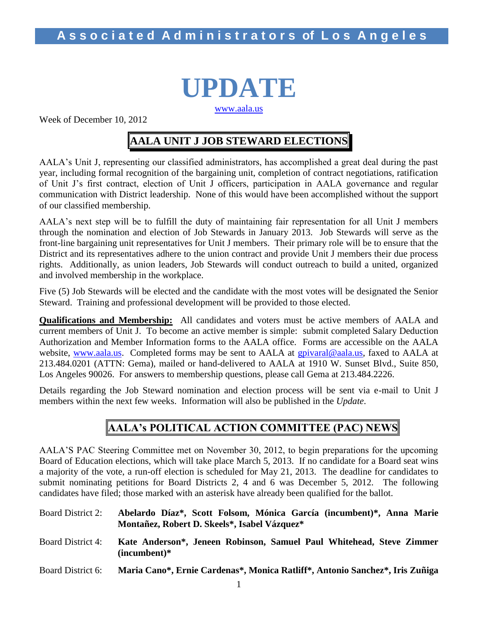# **UPDATE** [www.aala.us](http://www.aala.us/)

Week of December 10, 2012

# **AALA UNIT J JOB STEWARD ELECTIONS**

AALA's Unit J, representing our classified administrators, has accomplished a great deal during the past year, including formal recognition of the bargaining unit, completion of contract negotiations, ratification of Unit J's first contract, election of Unit J officers, participation in AALA governance and regular communication with District leadership. None of this would have been accomplished without the support of our classified membership.

AALA's next step will be to fulfill the duty of maintaining fair representation for all Unit J members through the nomination and election of Job Stewards in January 2013. Job Stewards will serve as the front-line bargaining unit representatives for Unit J members. Their primary role will be to ensure that the District and its representatives adhere to the union contract and provide Unit J members their due process rights. Additionally, as union leaders, Job Stewards will conduct outreach to build a united, organized and involved membership in the workplace.

Five (5) Job Stewards will be elected and the candidate with the most votes will be designated the Senior Steward. Training and professional development will be provided to those elected.

**Qualifications and Membership:** All candidates and voters must be active members of AALA and current members of Unit J. To become an active member is simple: submit completed Salary Deduction Authorization and Member Information forms to the AALA office. Forms are accessible on the AALA website, [www.aala.us.](http://www.aala.us/) Completed forms may be sent to AALA at [gpivaral@aala.us,](mailto:gpivaral@aala.us) faxed to AALA at 213.484.0201 (ATTN: Gema), mailed or hand-delivered to AALA at 1910 W. Sunset Blvd., Suite 850, Los Angeles 90026. For answers to membership questions, please call Gema at 213.484.2226.

Details regarding the Job Steward nomination and election process will be sent via e-mail to Unit J members within the next few weeks. Information will also be published in the *Update*.

## **AALA's POLITICAL ACTION COMMITTEE (PAC) NEWS**

AALA'S PAC Steering Committee met on November 30, 2012, to begin preparations for the upcoming Board of Education elections, which will take place March 5, 2013. If no candidate for a Board seat wins a majority of the vote, a run-off election is scheduled for May 21, 2013. The deadline for candidates to submit nominating petitions for Board Districts 2, 4 and 6 was December 5, 2012. The following candidates have filed; those marked with an asterisk have already been qualified for the ballot.

| <b>Board District 2:</b> | Abelardo Díaz*, Scott Folsom, Mónica García (incumbent)*, Anna Marie<br>Montañez, Robert D. Skeels*, Isabel Vázquez* |
|--------------------------|----------------------------------------------------------------------------------------------------------------------|
| <b>Board District 4:</b> | Kate Anderson*, Jeneen Robinson, Samuel Paul Whitehead, Steve Zimmer<br>$(incumbent)*$                               |
| Board District 6:        | Maria Cano*, Ernie Cardenas*, Monica Ratliff*, Antonio Sanchez*, Iris Zuñiga                                         |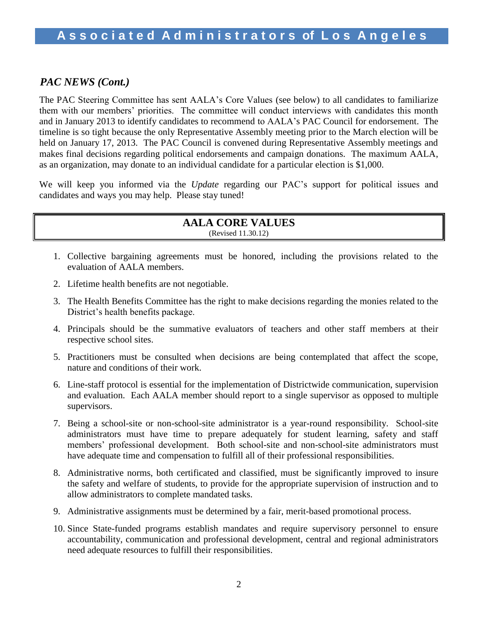## *PAC NEWS (Cont.)*

The PAC Steering Committee has sent AALA's Core Values (see below) to all candidates to familiarize them with our members' priorities. The committee will conduct interviews with candidates this month and in January 2013 to identify candidates to recommend to AALA's PAC Council for endorsement. The timeline is so tight because the only Representative Assembly meeting prior to the March election will be held on January 17, 2013. The PAC Council is convened during Representative Assembly meetings and makes final decisions regarding political endorsements and campaign donations. The maximum AALA, as an organization, may donate to an individual candidate for a particular election is \$1,000.

We will keep you informed via the *Update* regarding our PAC's support for political issues and candidates and ways you may help. Please stay tuned!

## **AALA CORE VALUES** (Revised 11.30.12)

- 1. Collective bargaining agreements must be honored, including the provisions related to the evaluation of AALA members.
- 2. Lifetime health benefits are not negotiable.
- 3. The Health Benefits Committee has the right to make decisions regarding the monies related to the District's health benefits package.
- 4. Principals should be the summative evaluators of teachers and other staff members at their respective school sites.
- 5. Practitioners must be consulted when decisions are being contemplated that affect the scope, nature and conditions of their work.
- 6. Line-staff protocol is essential for the implementation of Districtwide communication, supervision and evaluation. Each AALA member should report to a single supervisor as opposed to multiple supervisors.
- 7. Being a school-site or non-school-site administrator is a year-round responsibility. School-site administrators must have time to prepare adequately for student learning, safety and staff members' professional development. Both school-site and non-school-site administrators must have adequate time and compensation to fulfill all of their professional responsibilities.
- 8. Administrative norms, both certificated and classified, must be significantly improved to insure the safety and welfare of students, to provide for the appropriate supervision of instruction and to allow administrators to complete mandated tasks.
- 9. Administrative assignments must be determined by a fair, merit-based promotional process.
- 10. Since State-funded programs establish mandates and require supervisory personnel to ensure accountability, communication and professional development, central and regional administrators need adequate resources to fulfill their responsibilities.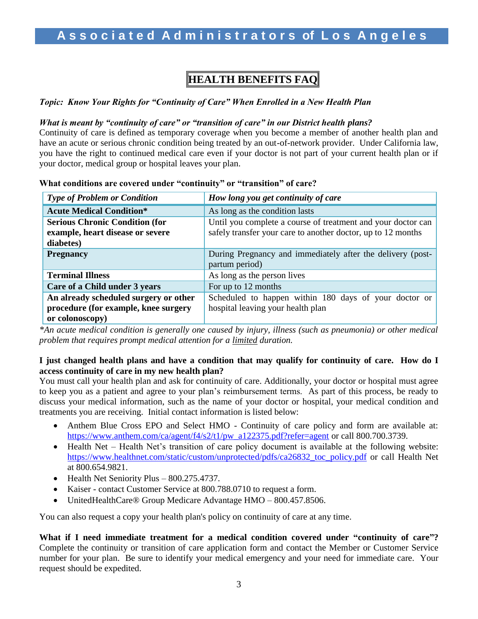# **HEALTH BENEFITS FAQ**

*Topic: Know Your Rights for "Continuity of Care" When Enrolled in a New Health Plan* 

#### *What is meant by "continuity of care" or "transition of care" in our District health plans?*

Continuity of care is defined as temporary coverage when you become a member of another health plan and have an acute or serious chronic condition being treated by an out-of-network provider. Under California law, you have the right to continued medical care even if your doctor is not part of your current health plan or if your doctor, medical group or hospital leaves your plan.

| <b>Type of Problem or Condition</b>                                                              | How long you get continuity of care                                                                                          |  |  |
|--------------------------------------------------------------------------------------------------|------------------------------------------------------------------------------------------------------------------------------|--|--|
| <b>Acute Medical Condition*</b>                                                                  | As long as the condition lasts                                                                                               |  |  |
| <b>Serious Chronic Condition (for</b><br>example, heart disease or severe<br>diabetes)           | Until you complete a course of treatment and your doctor can<br>safely transfer your care to another doctor, up to 12 months |  |  |
| <b>Pregnancy</b>                                                                                 | During Pregnancy and immediately after the delivery (post-<br>partum period)                                                 |  |  |
| <b>Terminal Illness</b>                                                                          | As long as the person lives                                                                                                  |  |  |
| Care of a Child under 3 years                                                                    | For up to 12 months                                                                                                          |  |  |
| An already scheduled surgery or other<br>procedure (for example, knee surgery<br>or colonoscopy) | Scheduled to happen within 180 days of your doctor or<br>hospital leaving your health plan                                   |  |  |

**What conditions are covered under "continuity" or "transition" of care?**

*\*An acute medical condition is generally one caused by injury, illness (such as pneumonia) or other medical problem that requires prompt medical attention for a limited duration.*

### **I just changed health plans and have a condition that may qualify for continuity of care. How do I access continuity of care in my new health plan?**

You must call your health plan and ask for continuity of care. Additionally, your doctor or hospital must agree to keep you as a patient and agree to your plan's reimbursement terms. As part of this process, be ready to discuss your medical information, such as the name of your doctor or hospital, your medical condition and treatments you are receiving. Initial contact information is listed below:

- Anthem Blue Cross EPO and Select HMO Continuity of care policy and form are available at: [https://www.anthem.com/ca/agent/f4/s2/t1/pw\\_a122375.pdf?refer=agent](https://www.anthem.com/ca/agent/f4/s2/t1/pw_a122375.pdf?refer=agent) or call 800.700.3739.
- Health Net Health Net's transition of care policy document is available at the following website: [https://www.healthnet.com/static/custom/unprotected/pdfs/ca26832\\_toc\\_policy.pdf](https://www.healthnet.com/static/custom/unprotected/pdfs/ca26832_toc_policy.pdf) or call Health Net at 800.654.9821.
- $\bullet$  Health Net Seniority Plus 800.275.4737.
- Kaiser contact Customer Service at 800.788.0710 to request a form.
- UnitedHealthCare® Group Medicare Advantage HMO 800.457.8506.

You can also request a copy your health plan's policy on continuity of care at any time.

**What if I need immediate treatment for a medical condition covered under "continuity of care"?**  Complete the continuity or transition of care application form and contact the Member or Customer Service number for your plan. Be sure to identify your medical emergency and your need for immediate care. Your request should be expedited.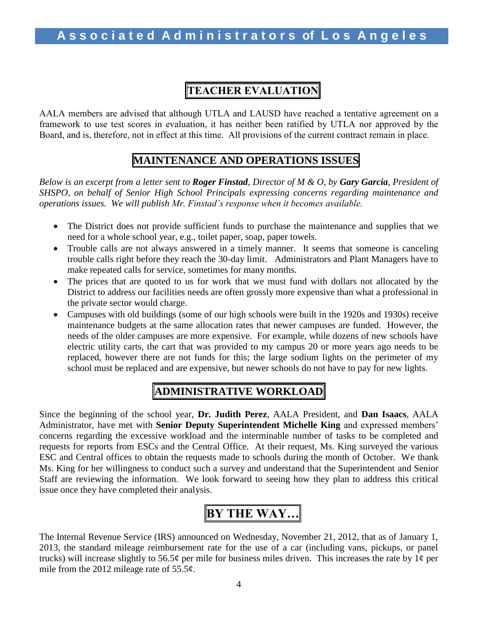# **TEACHER EVALUATION**

AALA members are advised that although UTLA and LAUSD have reached a tentative agreement on a framework to use test scores in evaluation, it has neither been ratified by UTLA nor approved by the Board, and is, therefore, not in effect at this time. All provisions of the current contract remain in place.

## **MAINTENANCE AND OPERATIONS ISSUES**

*Below is an excerpt from a letter sent to Roger Finstad, Director of M & O, by Gary Garcia, President of SHSPO, on behalf of Senior High School Principals expressing concerns regarding maintenance and operations issues. We will publish Mr. Finstad's response when it becomes available.*

- The District does not provide sufficient funds to purchase the maintenance and supplies that we need for a whole school year, e.g., toilet paper, soap, paper towels.
- Trouble calls are not always answered in a timely manner. It seems that someone is canceling trouble calls right before they reach the 30-day limit. Administrators and Plant Managers have to make repeated calls for service, sometimes for many months.
- The prices that are quoted to us for work that we must fund with dollars not allocated by the District to address our facilities needs are often grossly more expensive than what a professional in the private sector would charge.
- Campuses with old buildings (some of our high schools were built in the 1920s and 1930s) receive maintenance budgets at the same allocation rates that newer campuses are funded. However, the needs of the older campuses are more expensive. For example, while dozens of new schools have electric utility carts, the cart that was provided to my campus 20 or more years ago needs to be replaced, however there are not funds for this; the large sodium lights on the perimeter of my school must be replaced and are expensive, but newer schools do not have to pay for new lights.

# **ADMINISTRATIVE WORKLOAD**

Since the beginning of the school year, **Dr. Judith Perez**, AALA President, and **Dan Isaacs**, AALA Administrator, have met with **Senior Deputy Superintendent Michelle King** and expressed members' concerns regarding the excessive workload and the interminable number of tasks to be completed and requests for reports from ESCs and the Central Office. At their request, Ms. King surveyed the various ESC and Central offices to obtain the requests made to schools during the month of October. We thank Ms. King for her willingness to conduct such a survey and understand that the Superintendent and Senior Staff are reviewing the information. We look forward to seeing how they plan to address this critical issue once they have completed their analysis.

# **BY THE WAY…**

The Internal Revenue Service (IRS) announced on Wednesday, November 21, 2012, that as of January 1, 2013, the standard mileage reimbursement rate for the use of a car (including vans, pickups, or panel trucks) will increase slightly to 56.5 $\phi$  per mile for business miles driven. This increases the rate by 1 $\phi$  per mile from the 2012 mileage rate of  $55.5¢$ .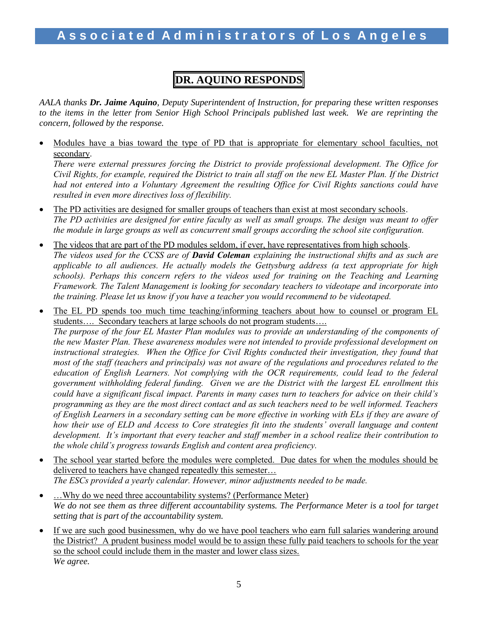# **DR. AQUINO RESPONDS**

*AALA thanks Dr. Jaime Aquino, Deputy Superintendent of Instruction, for preparing these written responses to the items in the letter from Senior High School Principals published last week. We are reprinting the concern, followed by the response.*

 Modules have a bias toward the type of PD that is appropriate for elementary school faculties, not secondary.

*There were external pressures forcing the District to provide professional development. The Office for Civil Rights, for example, required the District to train all staff on the new EL Master Plan. If the District had not entered into a Voluntary Agreement the resulting Office for Civil Rights sanctions could have resulted in even more directives loss of flexibility.*

- The PD activities are designed for smaller groups of teachers than exist at most secondary schools. *The PD activities are designed for entire faculty as well as small groups. The design was meant to offer the module in large groups as well as concurrent small groups according the school site configuration.*
- The videos that are part of the PD modules seldom, if ever, have representatives from high schools. *The videos used for the CCSS are of David Coleman explaining the instructional shifts and as such are applicable to all audiences. He actually models the Gettysburg address (a text appropriate for high schools). Perhaps this concern refers to the videos used for training on the Teaching and Learning Framework. The Talent Management is looking for secondary teachers to videotape and incorporate into the training. Please let us know if you have a teacher you would recommend to be videotaped.*
- The EL PD spends too much time teaching/informing teachers about how to counsel or program EL students…. Secondary teachers at large schools do not program students…. *The purpose of the four EL Master Plan modules was to provide an understanding of the components of the new Master Plan. These awareness modules were not intended to provide professional development on instructional strategies. When the Office for Civil Rights conducted their investigation, they found that most of the staff (teachers and principals) was not aware of the regulations and procedures related to the education of English Learners. Not complying with the OCR requirements, could lead to the federal government withholding federal funding. Given we are the District with the largest EL enrollment this could have a significant fiscal impact. Parents in many cases turn to teachers for advice on their child's programming as they are the most direct contact and as such teachers need to be well informed. Teachers of English Learners in a secondary setting can be more effective in working with ELs if they are aware of how their use of ELD and Access to Core strategies fit into the students' overall language and content development. It's important that every teacher and staff member in a school realize their contribution to the whole child's progress towards English and content area proficiency.*
- The school year started before the modules were completed. Due dates for when the modules should be delivered to teachers have changed repeatedly this semester… *The ESCs provided a yearly calendar. However, minor adjustments needed to be made.*
- ... Why do we need three accountability systems? (Performance Meter) *We do not see them as three different accountability systems. The Performance Meter is a tool for target setting that is part of the accountability system.*
- If we are such good businessmen, why do we have pool teachers who earn full salaries wandering around the District? A prudent business model would be to assign these fully paid teachers to schools for the year so the school could include them in the master and lower class sizes. *We agree.*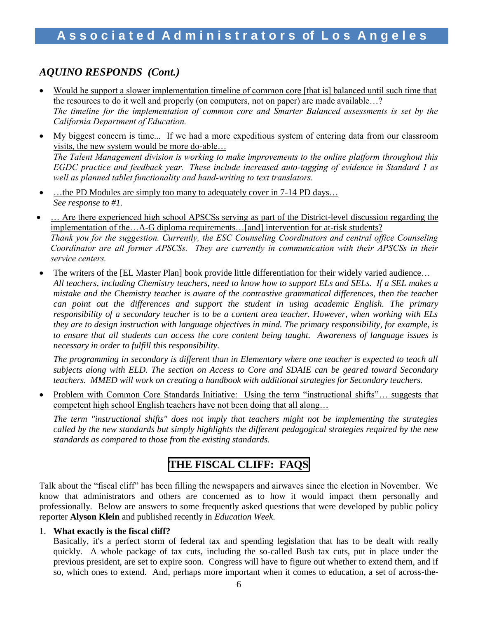## *AQUINO RESPONDS (Cont.)*

- Would he support a slower implementation timeline of common core [that is] balanced until such time that the resources to do it well and properly (on computers, not on paper) are made available…? *The timeline for the implementation of common core and Smarter Balanced assessments is set by the California Department of Education.*
- My biggest concern is time... If we had a more expeditious system of entering data from our classroom visits, the new system would be more do-able… *The Talent Management division is working to make improvements to the online platform throughout this EGDC practice and feedback year. These include increased auto-tagging of evidence in Standard 1 as well as planned tablet functionality and hand-writing to text translators.*
- …the PD Modules are simply too many to adequately cover in 7-14 PD days… *See response to #1.*
- … Are there experienced high school APSCSs serving as part of the District-level discussion regarding the implementation of the…A-G diploma requirements…[and] intervention for at-risk students? *Thank you for the suggestion. Currently, the ESC Counseling Coordinators and central office Counseling Coordinator are all former APSCSs. They are currently in communication with their APSCSs in their service centers.*
- The writers of the [EL Master Plan] book provide little differentiation for their widely varied audience… *All teachers, including Chemistry teachers, need to know how to support ELs and SELs. If a SEL makes a mistake and the Chemistry teacher is aware of the contrastive grammatical differences, then the teacher can point out the differences and support the student in using academic English. The primary responsibility of a secondary teacher is to be a content area teacher. However, when working with ELs they are to design instruction with language objectives in mind. The primary responsibility, for example, is to ensure that all students can access the core content being taught. Awareness of language issues is necessary in order to fulfill this responsibility.*

*The programming in secondary is different than in Elementary where one teacher is expected to teach all subjects along with ELD. The section on Access to Core and SDAIE can be geared toward Secondary teachers. MMED will work on creating a handbook with additional strategies for Secondary teachers.* 

• Problem with Common Core Standards Initiative: Using the term "instructional shifts"... suggests that competent high school English teachers have not been doing that all along…

*The term "instructional shifts" does not imply that teachers might not be implementing the strategies called by the new standards but simply highlights the different pedagogical strategies required by the new standards as compared to those from the existing standards.* 

## **THE FISCAL CLIFF: FAQS**

Talk about the "fiscal cliff" has been filling the newspapers and airwaves since the election in November. We know that administrators and others are concerned as to how it would impact them personally and professionally. Below are answers to some frequently asked questions that were developed by public policy reporter **Alyson Klein** and published recently in *Education Week.*

#### 1. **What exactly is the fiscal cliff?**

Basically, it's a perfect storm of federal tax and spending legislation that has to be dealt with really quickly. A whole package of tax cuts, including the so-called Bush tax cuts, put in place under the previous president, are set to expire soon. Congress will have to figure out whether to extend them, and if so, which ones to extend. And, perhaps more important when it comes to education, a set of across-the-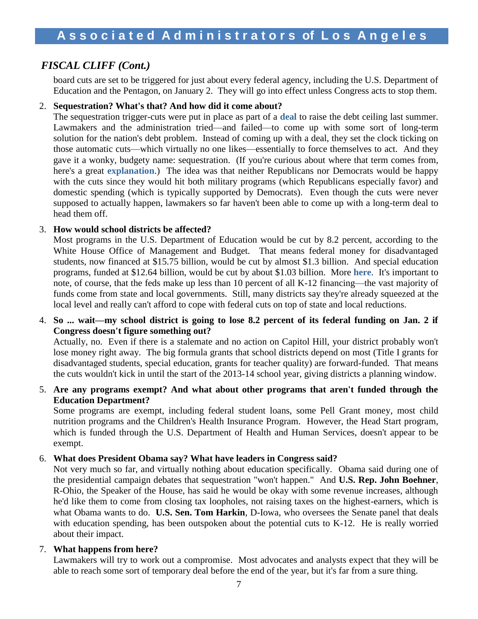## *FISCAL CLIFF (Cont.)*

board cuts are set to be triggered for just about every federal agency, including the U.S. Department of Education and the Pentagon, on January 2. They will go into effect unless Congress acts to stop them.

### 2. **Sequestration? What's that? And how did it come about?**

The sequestration trigger-cuts were put in place as part of a **[deal](http://www.edweek.org/ew/articles/2011/08/10/37debt.h30.html)** to raise the debt ceiling last summer. Lawmakers and the administration tried—and failed—to come up with some sort of long-term solution for the nation's debt problem. Instead of coming up with a deal, they set the clock ticking on those automatic cuts—which virtually no one likes—essentially to force themselves to act. And they gave it a wonky, budgety name: sequestration. (If you're curious about where that term comes from, here's a great **[explanation](http://www.auburn.edu/~johnspm/gloss/sequestration)**.) The idea was that neither Republicans nor Democrats would be happy with the cuts since they would hit both military programs (which Republicans especially favor) and domestic spending (which is typically supported by Democrats). Even though the cuts were never supposed to actually happen, lawmakers so far haven't been able to come up with a long-term deal to head them off.

### 3. **How would school districts be affected?**

Most programs in the U.S. Department of Education would be cut by 8.2 percent, according to the White House Office of Management and Budget. That means federal money for disadvantaged students, now financed at \$15.75 billion, would be cut by almost \$1.3 billion. And special education programs, funded at \$12.64 billion, would be cut by about \$1.03 billion. More **[here](http://blogs.edweek.org/edweek/campaign-k-12/2012/09/white_house_outlines_impact_of.html)**. It's important to note, of course, that the feds make up less than 10 percent of all K-12 financing—the vast majority of funds come from state and local governments. Still, many districts say they're already squeezed at the local level and really can't afford to cope with federal cuts on top of state and local reductions.

4. **So ... wait—my school district is going to lose 8.2 percent of its federal funding on Jan. 2 if Congress doesn't figure something out?** 

Actually, no. Even if there is a stalemate and no action on Capitol Hill, your district probably won't lose money right away. The big formula grants that school districts depend on most (Title I grants for disadvantaged students, special education, grants for teacher quality) are forward-funded. That means the cuts wouldn't kick in until the start of the 2013-14 school year, giving districts a planning window.

5. **Are any programs exempt? And what about other programs that aren't funded through the Education Department?**

Some programs are exempt, including federal student loans, some Pell Grant money, most child nutrition programs and the Children's Health Insurance Program. However, the Head Start program, which is funded through the U.S. Department of Health and Human Services, doesn't appear to be exempt.

## 6. **What does President Obama say? What have leaders in Congress said?**

Not very much so far, and virtually nothing about education specifically. Obama said during one of the presidential campaign debates that sequestration "won't happen." And **U.S. Rep. John Boehner**, R-Ohio, the Speaker of the House, has said he would be okay with some revenue increases, although he'd like them to come from closing tax loopholes, not raising taxes on the highest-earners, which is what Obama wants to do. **U.S. Sen. Tom Harkin**, D-Iowa, who oversees the Senate panel that deals with education spending, has been outspoken about the potential cuts to K-12. He is really worried about their impact.

#### 7. **What happens from here?**

Lawmakers will try to work out a compromise. Most advocates and analysts expect that they will be able to reach some sort of temporary deal before the end of the year, but it's far from a sure thing.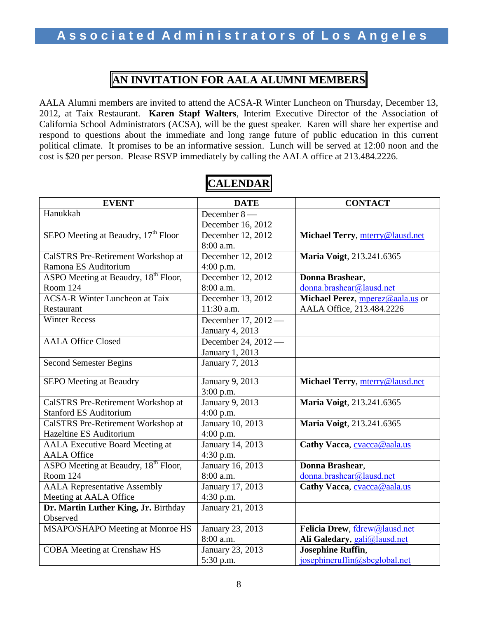## **AN INVITATION FOR AALA ALUMNI MEMBERS**

AALA Alumni members are invited to attend the ACSA-R Winter Luncheon on Thursday, December 13, 2012, at Taix Restaurant. **Karen Stapf Walters**, Interim Executive Director of the Association of California School Administrators (ACSA), will be the guest speaker. Karen will share her expertise and respond to questions about the immediate and long range future of public education in this current political climate. It promises to be an informative session. Lunch will be served at 12:00 noon and the cost is \$20 per person. Please RSVP immediately by calling the AALA office at 213.484.2226.

| <b>EVENT</b>                                     | <b>DATE</b>                   | <b>CONTACT</b>                                           |  |
|--------------------------------------------------|-------------------------------|----------------------------------------------------------|--|
| Hanukkah                                         | December 8-                   |                                                          |  |
|                                                  | December 16, 2012             |                                                          |  |
| SEPO Meeting at Beaudry, 17 <sup>th</sup> Floor  | December 12, 2012             | Michael Terry, mterry@lausd.net                          |  |
|                                                  | 8:00 a.m.                     |                                                          |  |
| CalSTRS Pre-Retirement Workshop at               | December 12, 2012             | Maria Voigt, 213.241.6365                                |  |
| Ramona ES Auditorium                             | $4:00$ p.m.                   |                                                          |  |
| ASPO Meeting at Beaudry, 18 <sup>th</sup> Floor, | December 12, 2012             | Donna Brashear,                                          |  |
| Room 124                                         | 8:00 a.m.                     | donna.brashear@lausd.net                                 |  |
| <b>ACSA-R Winter Luncheon at Taix</b>            | December 13, 2012             | Michael Perez, <i>mperez@aala.us</i> or                  |  |
| Restaurant                                       | 11:30 a.m.                    | AALA Office, 213.484.2226                                |  |
| <b>Winter Recess</b>                             | December 17, 2012 -           |                                                          |  |
|                                                  | January 4, 2013               |                                                          |  |
| <b>AALA Office Closed</b>                        | December 24, 2012 —           |                                                          |  |
|                                                  | January 1, 2013               |                                                          |  |
| <b>Second Semester Begins</b>                    | January 7, 2013               |                                                          |  |
|                                                  |                               |                                                          |  |
| <b>SEPO Meeting at Beaudry</b>                   | January 9, 2013               | Michael Terry, mterry@lausd.net                          |  |
|                                                  | $3:00$ p.m.                   |                                                          |  |
| CalSTRS Pre-Retirement Workshop at               | January 9, 2013               | Maria Voigt, 213.241.6365                                |  |
| <b>Stanford ES Auditorium</b>                    | $4:00$ p.m.                   |                                                          |  |
| CalSTRS Pre-Retirement Workshop at               | January 10, 2013              | Maria Voigt, 213.241.6365                                |  |
| <b>Hazeltine ES Auditorium</b>                   | 4:00 p.m.                     |                                                          |  |
| <b>AALA Executive Board Meeting at</b>           | January 14, 2013              | Cathy Vacca, cvacca@aala.us                              |  |
| <b>AALA Office</b>                               | 4:30 p.m.                     |                                                          |  |
| ASPO Meeting at Beaudry, 18 <sup>th</sup> Floor, | January 16, 2013              | Donna Brashear,                                          |  |
| Room 124                                         | 8:00 a.m.                     | donna.brashear@lausd.net                                 |  |
| <b>AALA Representative Assembly</b>              | January 17, 2013              | Cathy Vacca, cvacca@aala.us                              |  |
| Meeting at AALA Office                           | 4:30 p.m.                     |                                                          |  |
| Dr. Martin Luther King, Jr. Birthday             | January 21, 2013              |                                                          |  |
| Observed                                         |                               | Felicia Drew, fdrew@lausd.net                            |  |
| MSAPO/SHAPO Meeting at Monroe HS                 | January 23, 2013<br>8:00 a.m. |                                                          |  |
| <b>COBA</b> Meeting at Crenshaw HS               | January 23, 2013              | Ali Galedary, gali@lausd.net<br><b>Josephine Ruffin,</b> |  |
|                                                  | 5:30 p.m.                     | josephineruffin@sbcglobal.net                            |  |
|                                                  |                               |                                                          |  |

# **CALENDAR**